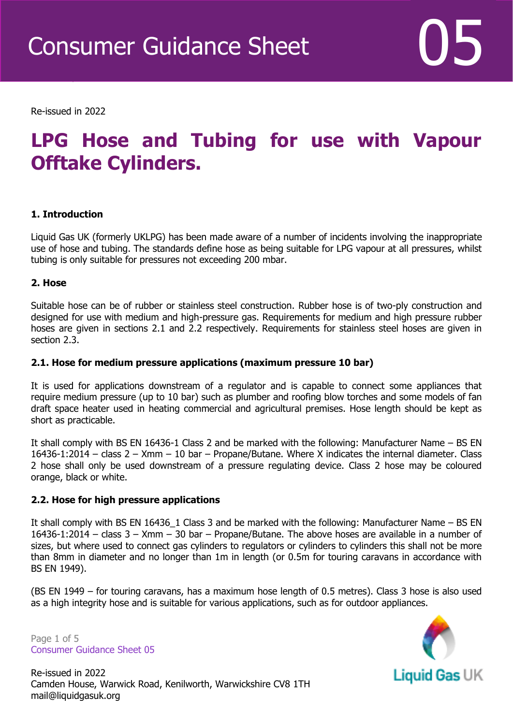Re-issued in 2022

Revised April 2016

# **LPG Hose and Tubing for use with Vapour Offtake Cylinders.**

# **1. Introduction**

Liquid Gas UK (formerly UKLPG) has been made aware of a number of incidents involving the inappropriate use of hose and tubing. The standards define hose as being suitable for LPG vapour at all pressures, whilst tubing is only suitable for pressures not exceeding 200 mbar.

# **2. Hose**

Suitable hose can be of rubber or stainless steel construction. Rubber hose is of two-ply construction and designed for use with medium and high-pressure gas. Requirements for medium and high pressure rubber hoses are given in sections 2.1 and 2.2 respectively. Requirements for stainless steel hoses are given in section 2.3.

# **2.1. Hose for medium pressure applications (maximum pressure 10 bar)**

It is used for applications downstream of a regulator and is capable to connect some appliances that require medium pressure (up to 10 bar) such as plumber and roofing blow torches and some models of fan draft space heater used in heating commercial and agricultural premises. Hose length should be kept as short as practicable.

It shall comply with BS EN 16436-1 Class 2 and be marked with the following: Manufacturer Name – BS EN 16436-1:2014 – class 2 – Xmm – 10 bar – Propane/Butane. Where X indicates the internal diameter. Class 2 hose shall only be used downstream of a pressure regulating device. Class 2 hose may be coloured orange, black or white.

# **2.2. Hose for high pressure applications**

It shall comply with BS EN 16436 1 Class 3 and be marked with the following: Manufacturer Name – BS EN 16436-1:2014 – class 3 – Xmm – 30 bar – Propane/Butane. The above hoses are available in a number of sizes, but where used to connect gas cylinders to regulators or cylinders to cylinders this shall not be more than 8mm in diameter and no longer than 1m in length (or 0.5m for touring caravans in accordance with BS EN 1949).

(BS EN 1949 – for touring caravans, has a maximum hose length of 0.5 metres). Class 3 hose is also used as a high integrity hose and is suitable for various applications, such as for outdoor appliances.

Page 1 of 5 Consumer Guidance Sheet 05



Re-issued in 2022 Camden House, Warwick Road, Kenilworth, Warwickshire CV8 1TH mail@liquidgasuk.org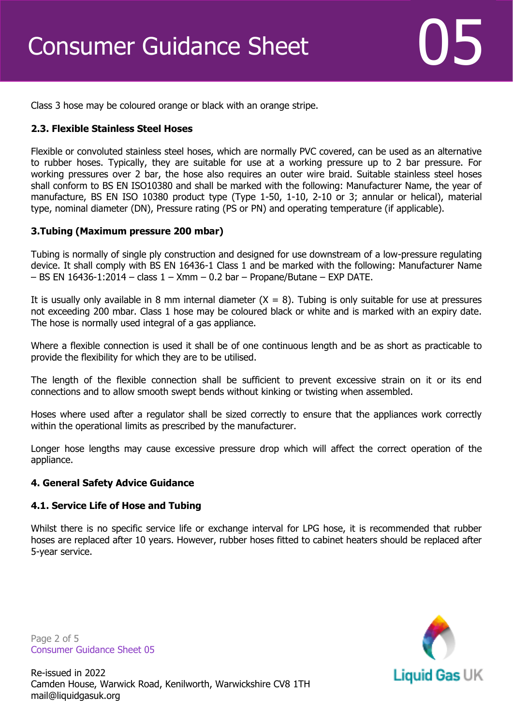

Class 3 hose may be coloured orange or black with an orange stripe.

# **2.3. Flexible Stainless Steel Hoses**

Flexible or convoluted stainless steel hoses, which are normally PVC covered, can be used as an alternative to rubber hoses. Typically, they are suitable for use at a working pressure up to 2 bar pressure. For working pressures over 2 bar, the hose also requires an outer wire braid. Suitable stainless steel hoses shall conform to BS EN ISO10380 and shall be marked with the following: Manufacturer Name, the year of manufacture, BS EN ISO 10380 product type (Type 1-50, 1-10, 2-10 or 3; annular or helical), material type, nominal diameter (DN), Pressure rating (PS or PN) and operating temperature (if applicable).

# **3.Tubing (Maximum pressure 200 mbar)**

Tubing is normally of single ply construction and designed for use downstream of a low-pressure regulating device. It shall comply with BS EN 16436-1 Class 1 and be marked with the following: Manufacturer Name  $-$  BS EN 16436-1:2014 – class  $1 -$  Xmm – 0.2 bar – Propane/Butane – EXP DATE.

It is usually only available in 8 mm internal diameter  $(X = 8)$ . Tubing is only suitable for use at pressures not exceeding 200 mbar. Class 1 hose may be coloured black or white and is marked with an expiry date. The hose is normally used integral of a gas appliance.

Where a flexible connection is used it shall be of one continuous length and be as short as practicable to provide the flexibility for which they are to be utilised.

The length of the flexible connection shall be sufficient to prevent excessive strain on it or its end connections and to allow smooth swept bends without kinking or twisting when assembled.

Hoses where used after a regulator shall be sized correctly to ensure that the appliances work correctly within the operational limits as prescribed by the manufacturer.

Longer hose lengths may cause excessive pressure drop which will affect the correct operation of the appliance.

# **4. General Safety Advice Guidance**

# **4.1. Service Life of Hose and Tubing**

Whilst there is no specific service life or exchange interval for LPG hose, it is recommended that rubber hoses are replaced after 10 years. However, rubber hoses fitted to cabinet heaters should be replaced after 5-year service.

Page 2 of 5 Consumer Guidance Sheet 05



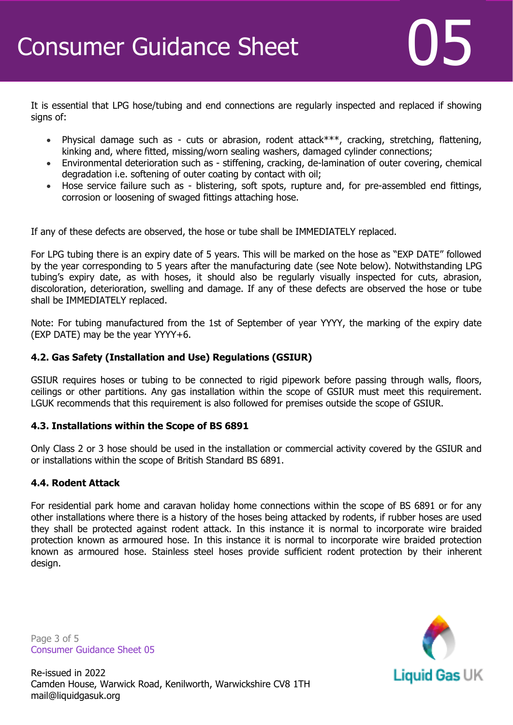It is essential that LPG hose/tubing and end connections are regularly inspected and replaced if showing signs of:

- Physical damage such as cuts or abrasion, rodent attack\*\*\*, cracking, stretching, flattening, kinking and, where fitted, missing/worn sealing washers, damaged cylinder connections;
- Environmental deterioration such as stiffening, cracking, de-lamination of outer covering, chemical degradation i.e. softening of outer coating by contact with oil;
- Hose service failure such as blistering, soft spots, rupture and, for pre-assembled end fittings, corrosion or loosening of swaged fittings attaching hose.

If any of these defects are observed, the hose or tube shall be IMMEDIATELY replaced.

For LPG tubing there is an expiry date of 5 years. This will be marked on the hose as "EXP DATE" followed by the year corresponding to 5 years after the manufacturing date (see Note below). Notwithstanding LPG tubing's expiry date, as with hoses, it should also be regularly visually inspected for cuts, abrasion, discoloration, deterioration, swelling and damage. If any of these defects are observed the hose or tube shall be IMMEDIATELY replaced.

Note: For tubing manufactured from the 1st of September of year YYYY, the marking of the expiry date (EXP DATE) may be the year YYYY+6.

# **4.2. Gas Safety (Installation and Use) Regulations (GSIUR)**

GSIUR requires hoses or tubing to be connected to rigid pipework before passing through walls, floors, ceilings or other partitions. Any gas installation within the scope of GSIUR must meet this requirement. LGUK recommends that this requirement is also followed for premises outside the scope of GSIUR.

# **4.3. Installations within the Scope of BS 6891**

Only Class 2 or 3 hose should be used in the installation or commercial activity covered by the GSIUR and or installations within the scope of British Standard BS 6891.

# **4.4. Rodent Attack**

For residential park home and caravan holiday home connections within the scope of BS 6891 or for any other installations where there is a history of the hoses being attacked by rodents, if rubber hoses are used they shall be protected against rodent attack. In this instance it is normal to incorporate wire braided protection known as armoured hose. In this instance it is normal to incorporate wire braided protection known as armoured hose. Stainless steel hoses provide sufficient rodent protection by their inherent design.

Page 3 of 5 Consumer Guidance Sheet 05



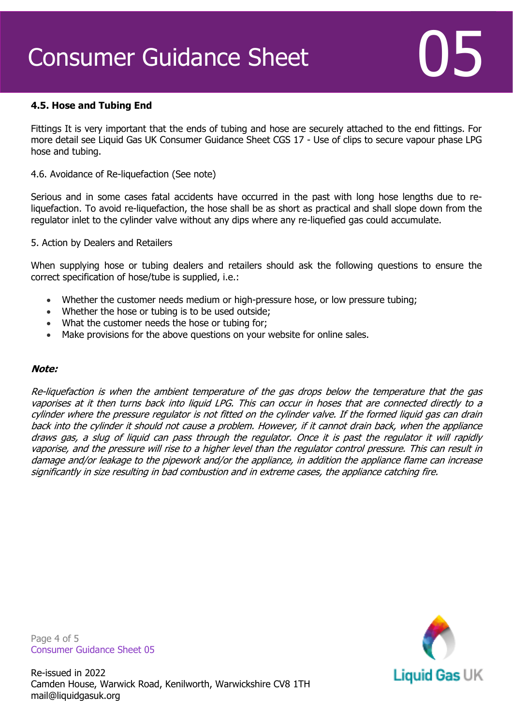# Consumer Guidance Sheet

# **4.5. Hose and Tubing End**

Fittings It is very important that the ends of tubing and hose are securely attached to the end fittings. For more detail see Liquid Gas UK Consumer Guidance Sheet CGS 17 - Use of clips to secure vapour phase LPG hose and tubing.

#### 4.6. Avoidance of Re-liquefaction (See note)

Serious and in some cases fatal accidents have occurred in the past with long hose lengths due to reliquefaction. To avoid re-liquefaction, the hose shall be as short as practical and shall slope down from the regulator inlet to the cylinder valve without any dips where any re-liquefied gas could accumulate.

#### 5. Action by Dealers and Retailers

When supplying hose or tubing dealers and retailers should ask the following questions to ensure the correct specification of hose/tube is supplied, i.e.:

- Whether the customer needs medium or high-pressure hose, or low pressure tubing;
- Whether the hose or tubing is to be used outside;
- What the customer needs the hose or tubing for;
- Make provisions for the above questions on your website for online sales.

#### **Note:**

Re-liquefaction is when the ambient temperature of the gas drops below the temperature that the gas vaporises at it then turns back into liquid LPG. This can occur in hoses that are connected directly to a cylinder where the pressure regulator is not fitted on the cylinder valve. If the formed liquid gas can drain back into the cylinder it should not cause a problem. However, if it cannot drain back, when the appliance draws gas, a slug of liquid can pass through the regulator. Once it is past the regulator it will rapidly vaporise, and the pressure will rise to a higher level than the regulator control pressure. This can result in damage and/or leakage to the pipework and/or the appliance, in addition the appliance flame can increase significantly in size resulting in bad combustion and in extreme cases, the appliance catching fire.

Page 4 of 5 Consumer Guidance Sheet 05